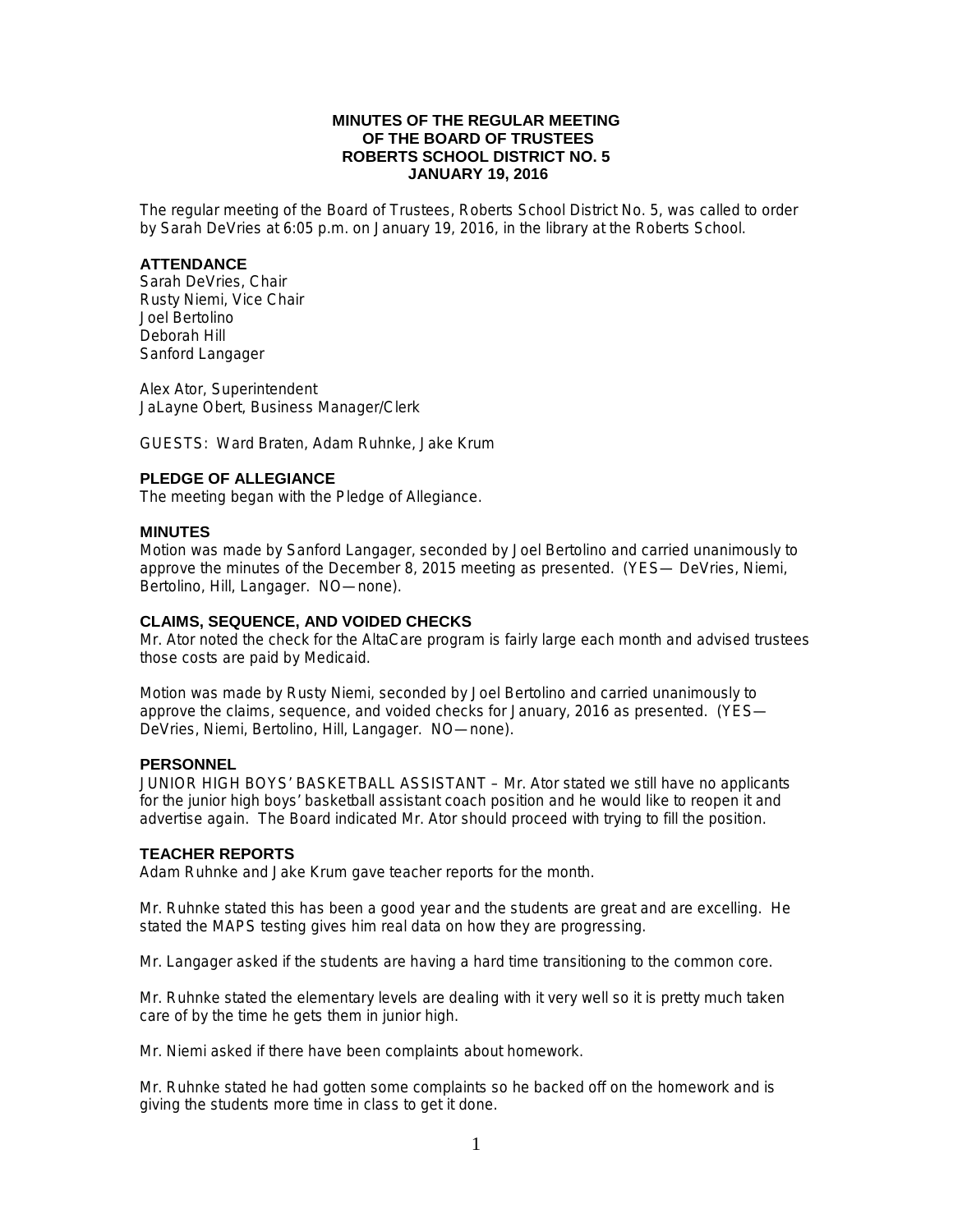## **MINUTES OF THE REGULAR MEETING OF THE BOARD OF TRUSTEES ROBERTS SCHOOL DISTRICT NO. 5 JANUARY 19, 2016**

The regular meeting of the Board of Trustees, Roberts School District No. 5, was called to order by Sarah DeVries at 6:05 p.m. on January 19, 2016, in the library at the Roberts School.

### **ATTENDANCE**

Sarah DeVries, Chair Rusty Niemi, Vice Chair Joel Bertolino Deborah Hill Sanford Langager

Alex Ator, Superintendent JaLayne Obert, Business Manager/Clerk

GUESTS: Ward Braten, Adam Ruhnke, Jake Krum

# **PLEDGE OF ALLEGIANCE**

The meeting began with the Pledge of Allegiance.

### **MINUTES**

Motion was made by Sanford Langager, seconded by Joel Bertolino and carried unanimously to approve the minutes of the December 8, 2015 meeting as presented. (YES— DeVries, Niemi, Bertolino, Hill, Langager. NO—none).

### **CLAIMS, SEQUENCE, AND VOIDED CHECKS**

Mr. Ator noted the check for the AltaCare program is fairly large each month and advised trustees those costs are paid by Medicaid.

Motion was made by Rusty Niemi, seconded by Joel Bertolino and carried unanimously to approve the claims, sequence, and voided checks for January, 2016 as presented. (YES— DeVries, Niemi, Bertolino, Hill, Langager. NO—none).

### **PERSONNEL**

JUNIOR HIGH BOYS' BASKETBALL ASSISTANT – Mr. Ator stated we still have no applicants for the junior high boys' basketball assistant coach position and he would like to reopen it and advertise again. The Board indicated Mr. Ator should proceed with trying to fill the position.

## **TEACHER REPORTS**

Adam Ruhnke and Jake Krum gave teacher reports for the month.

Mr. Ruhnke stated this has been a good year and the students are great and are excelling. He stated the MAPS testing gives him real data on how they are progressing.

Mr. Langager asked if the students are having a hard time transitioning to the common core.

Mr. Ruhnke stated the elementary levels are dealing with it very well so it is pretty much taken care of by the time he gets them in junior high.

Mr. Niemi asked if there have been complaints about homework.

Mr. Ruhnke stated he had gotten some complaints so he backed off on the homework and is giving the students more time in class to get it done.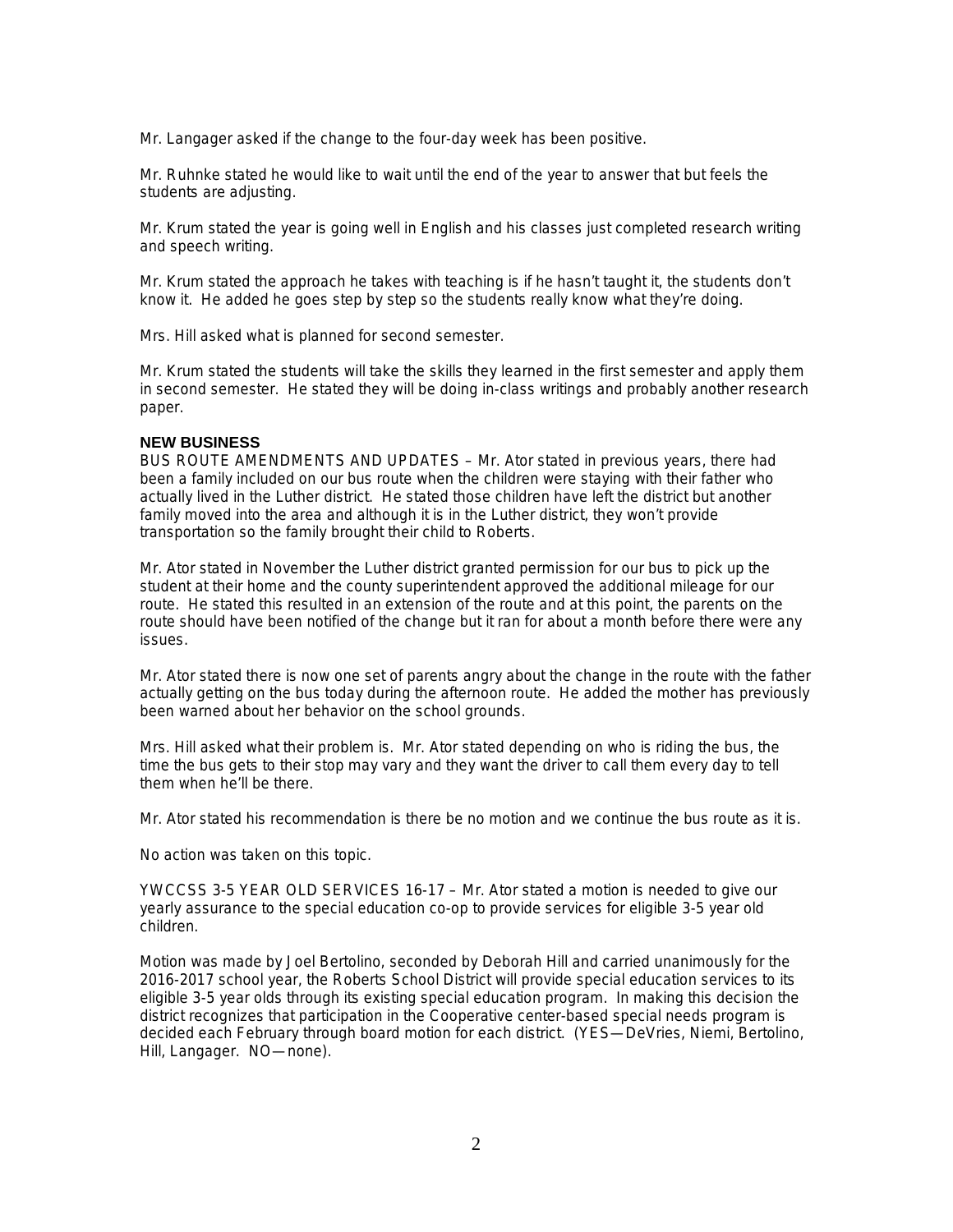Mr. Langager asked if the change to the four-day week has been positive.

Mr. Ruhnke stated he would like to wait until the end of the year to answer that but feels the students are adjusting.

Mr. Krum stated the year is going well in English and his classes just completed research writing and speech writing.

Mr. Krum stated the approach he takes with teaching is if he hasn't taught it, the students don't know it. He added he goes step by step so the students really know what they're doing.

Mrs. Hill asked what is planned for second semester.

Mr. Krum stated the students will take the skills they learned in the first semester and apply them in second semester. He stated they will be doing in-class writings and probably another research paper.

#### **NEW BUSINESS**

BUS ROUTE AMENDMENTS AND UPDATES – Mr. Ator stated in previous years, there had been a family included on our bus route when the children were staying with their father who actually lived in the Luther district. He stated those children have left the district but another family moved into the area and although it is in the Luther district, they won't provide transportation so the family brought their child to Roberts.

Mr. Ator stated in November the Luther district granted permission for our bus to pick up the student at their home and the county superintendent approved the additional mileage for our route. He stated this resulted in an extension of the route and at this point, the parents on the route should have been notified of the change but it ran for about a month before there were any issues.

Mr. Ator stated there is now one set of parents angry about the change in the route with the father actually getting on the bus today during the afternoon route. He added the mother has previously been warned about her behavior on the school grounds.

Mrs. Hill asked what their problem is. Mr. Ator stated depending on who is riding the bus, the time the bus gets to their stop may vary and they want the driver to call them every day to tell them when he'll be there.

Mr. Ator stated his recommendation is there be no motion and we continue the bus route as it is.

No action was taken on this topic.

YWCCSS 3-5 YEAR OLD SERVICES 16-17 – Mr. Ator stated a motion is needed to give our yearly assurance to the special education co-op to provide services for eligible 3-5 year old children.

Motion was made by Joel Bertolino, seconded by Deborah Hill and carried unanimously for the 2016-2017 school year, the Roberts School District will provide special education services to its eligible 3-5 year olds through its existing special education program. In making this decision the district recognizes that participation in the Cooperative center-based special needs program is decided each February through board motion for each district. (YES—DeVries, Niemi, Bertolino, Hill, Langager. NO—none).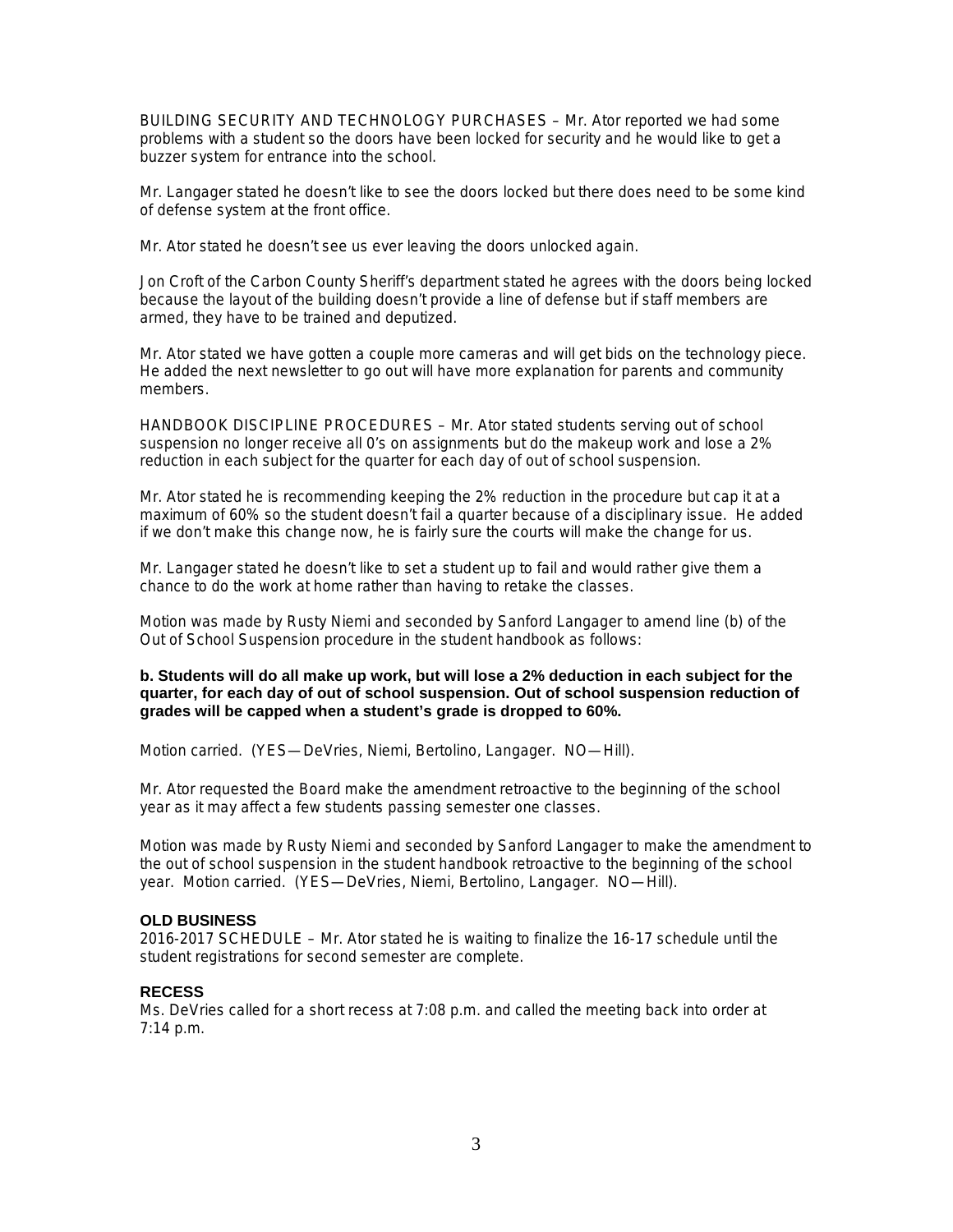BUILDING SECURITY AND TECHNOLOGY PURCHASES – Mr. Ator reported we had some problems with a student so the doors have been locked for security and he would like to get a buzzer system for entrance into the school.

Mr. Langager stated he doesn't like to see the doors locked but there does need to be some kind of defense system at the front office.

Mr. Ator stated he doesn't see us ever leaving the doors unlocked again.

Jon Croft of the Carbon County Sheriff's department stated he agrees with the doors being locked because the layout of the building doesn't provide a line of defense but if staff members are armed, they have to be trained and deputized.

Mr. Ator stated we have gotten a couple more cameras and will get bids on the technology piece. He added the next newsletter to go out will have more explanation for parents and community members.

HANDBOOK DISCIPLINE PROCEDURES – Mr. Ator stated students serving out of school suspension no longer receive all 0's on assignments but do the makeup work and lose a 2% reduction in each subject for the quarter for each day of out of school suspension.

Mr. Ator stated he is recommending keeping the 2% reduction in the procedure but cap it at a maximum of 60% so the student doesn't fail a quarter because of a disciplinary issue. He added if we don't make this change now, he is fairly sure the courts will make the change for us.

Mr. Langager stated he doesn't like to set a student up to fail and would rather give them a chance to do the work at home rather than having to retake the classes.

Motion was made by Rusty Niemi and seconded by Sanford Langager to amend line (b) of the Out of School Suspension procedure in the student handbook as follows:

## **b. Students will do all make up work, but will lose a 2% deduction in each subject for the quarter, for each day of out of school suspension. Out of school suspension reduction of grades will be capped when a student's grade is dropped to 60%.**

Motion carried. (YES—DeVries, Niemi, Bertolino, Langager. NO—Hill).

Mr. Ator requested the Board make the amendment retroactive to the beginning of the school year as it may affect a few students passing semester one classes.

Motion was made by Rusty Niemi and seconded by Sanford Langager to make the amendment to the out of school suspension in the student handbook retroactive to the beginning of the school year. Motion carried. (YES—DeVries, Niemi, Bertolino, Langager. NO—Hill).

## **OLD BUSINESS**

2016-2017 SCHEDULE – Mr. Ator stated he is waiting to finalize the 16-17 schedule until the student registrations for second semester are complete.

# **RECESS**

Ms. DeVries called for a short recess at 7:08 p.m. and called the meeting back into order at 7:14 p.m.